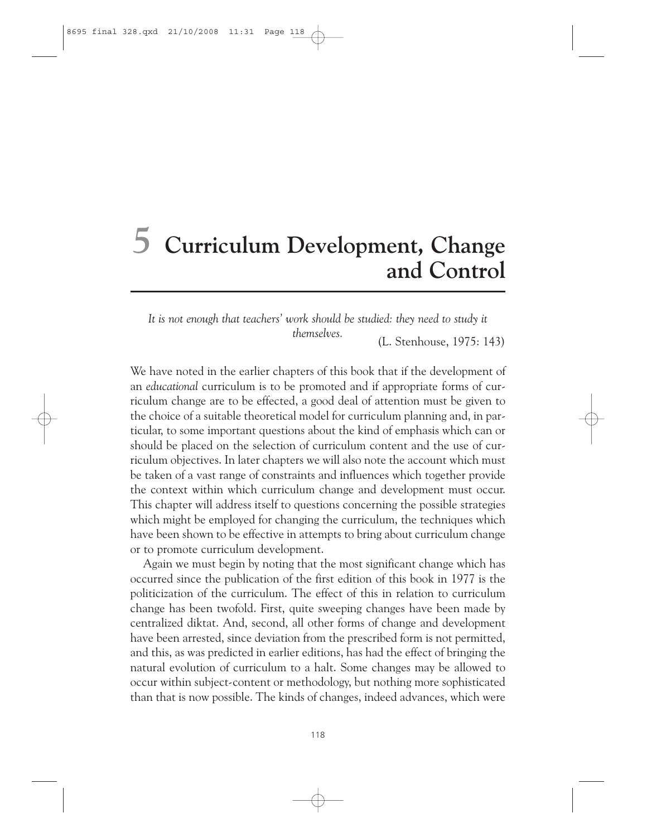# **5 Curriculum Development, Change and Control**

## *It is not enough that teachers' work should be studied: they need to study it themselves.* (L. Stenhouse, 1975: 143)

We have noted in the earlier chapters of this book that if the development of an *educational* curriculum is to be promoted and if appropriate forms of curriculum change are to be effected, a good deal of attention must be given to the choice of a suitable theoretical model for curriculum planning and, in particular, to some important questions about the kind of emphasis which can or should be placed on the selection of curriculum content and the use of curriculum objectives. In later chapters we will also note the account which must be taken of a vast range of constraints and influences which together provide the context within which curriculum change and development must occur. This chapter will address itself to questions concerning the possible strategies which might be employed for changing the curriculum, the techniques which have been shown to be effective in attempts to bring about curriculum change or to promote curriculum development.

Again we must begin by noting that the most significant change which has occurred since the publication of the first edition of this book in 1977 is the politicization of the curriculum. The effect of this in relation to curriculum change has been twofold. First, quite sweeping changes have been made by centralized diktat. And, second, all other forms of change and development have been arrested, since deviation from the prescribed form is not permitted, and this, as was predicted in earlier editions, has had the effect of bringing the natural evolution of curriculum to a halt. Some changes may be allowed to occur within subject-content or methodology, but nothing more sophisticated than that is now possible. The kinds of changes, indeed advances, which were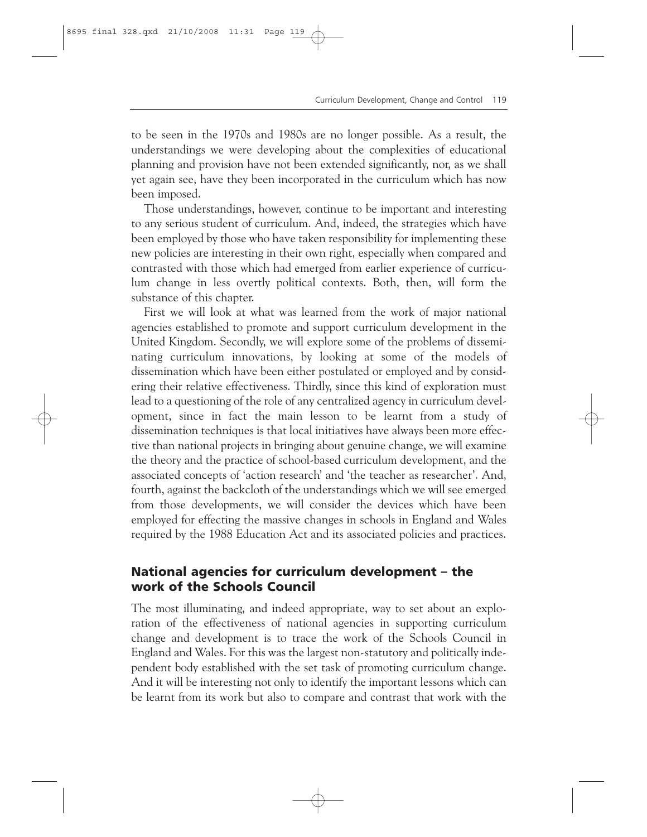to be seen in the 1970s and 1980s are no longer possible. As a result, the understandings we were developing about the complexities of educational planning and provision have not been extended significantly, nor, as we shall yet again see, have they been incorporated in the curriculum which has now been imposed.

Those understandings, however, continue to be important and interesting to any serious student of curriculum. And, indeed, the strategies which have been employed by those who have taken responsibility for implementing these new policies are interesting in their own right, especially when compared and contrasted with those which had emerged from earlier experience of curriculum change in less overtly political contexts. Both, then, will form the substance of this chapter.

First we will look at what was learned from the work of major national agencies established to promote and support curriculum development in the United Kingdom. Secondly, we will explore some of the problems of disseminating curriculum innovations, by looking at some of the models of dissemination which have been either postulated or employed and by considering their relative effectiveness. Thirdly, since this kind of exploration must lead to a questioning of the role of any centralized agency in curriculum development, since in fact the main lesson to be learnt from a study of dissemination techniques is that local initiatives have always been more effective than national projects in bringing about genuine change, we will examine the theory and the practice of school-based curriculum development, and the associated concepts of 'action research' and 'the teacher as researcher'. And, fourth, against the backcloth of the understandings which we will see emerged from those developments, we will consider the devices which have been employed for effecting the massive changes in schools in England and Wales required by the 1988 Education Act and its associated policies and practices.

## National agencies for curriculum development – the work of the Schools Council

The most illuminating, and indeed appropriate, way to set about an exploration of the effectiveness of national agencies in supporting curriculum change and development is to trace the work of the Schools Council in England and Wales. For this was the largest non-statutory and politically independent body established with the set task of promoting curriculum change. And it will be interesting not only to identify the important lessons which can be learnt from its work but also to compare and contrast that work with the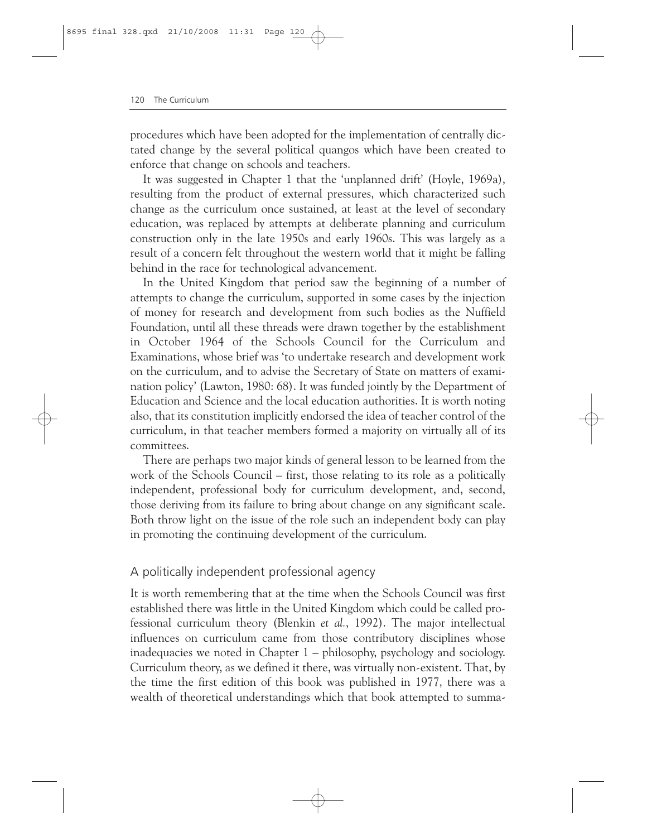procedures which have been adopted for the implementation of centrally dictated change by the several political quangos which have been created to enforce that change on schools and teachers.

It was suggested in Chapter 1 that the 'unplanned drift' (Hoyle, 1969a), resulting from the product of external pressures, which characterized such change as the curriculum once sustained, at least at the level of secondary education, was replaced by attempts at deliberate planning and curriculum construction only in the late 1950s and early 1960s. This was largely as a result of a concern felt throughout the western world that it might be falling behind in the race for technological advancement.

In the United Kingdom that period saw the beginning of a number of attempts to change the curriculum, supported in some cases by the injection of money for research and development from such bodies as the Nuffield Foundation, until all these threads were drawn together by the establishment in October 1964 of the Schools Council for the Curriculum and Examinations, whose brief was 'to undertake research and development work on the curriculum, and to advise the Secretary of State on matters of examination policy' (Lawton, 1980: 68). It was funded jointly by the Department of Education and Science and the local education authorities. It is worth noting also, that its constitution implicitly endorsed the idea of teacher control of the curriculum, in that teacher members formed a majority on virtually all of its committees.

There are perhaps two major kinds of general lesson to be learned from the work of the Schools Council – first, those relating to its role as a politically independent, professional body for curriculum development, and, second, those deriving from its failure to bring about change on any significant scale. Both throw light on the issue of the role such an independent body can play in promoting the continuing development of the curriculum.

## A politically independent professional agency

It is worth remembering that at the time when the Schools Council was first established there was little in the United Kingdom which could be called professional curriculum theory (Blenkin *et al.*, 1992). The major intellectual influences on curriculum came from those contributory disciplines whose inadequacies we noted in Chapter 1 – philosophy, psychology and sociology. Curriculum theory, as we defined it there, was virtually non-existent. That, by the time the first edition of this book was published in 1977, there was a wealth of theoretical understandings which that book attempted to summa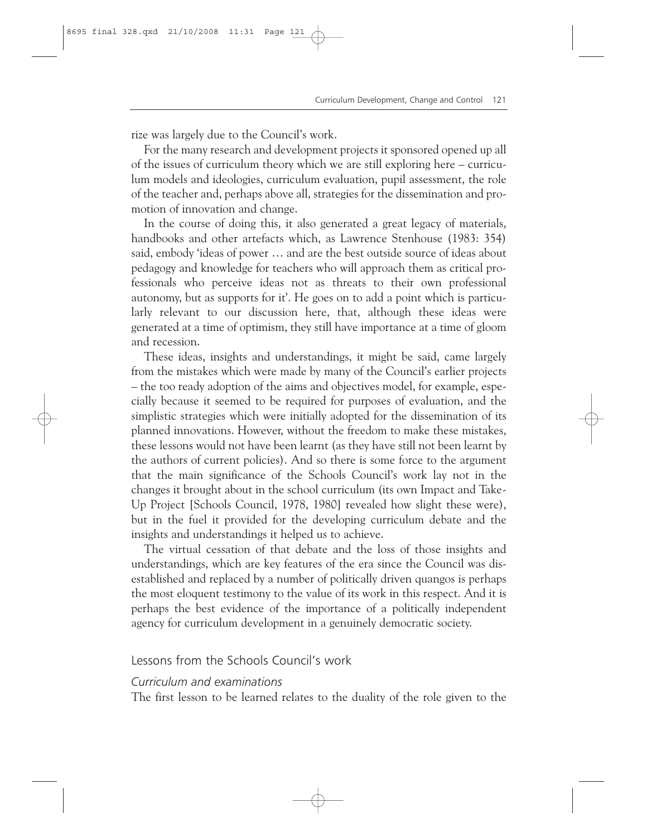rize was largely due to the Council's work.

For the many research and development projects it sponsored opened up all of the issues of curriculum theory which we are still exploring here – curriculum models and ideologies, curriculum evaluation, pupil assessment, the role of the teacher and, perhaps above all, strategies for the dissemination and promotion of innovation and change.

In the course of doing this, it also generated a great legacy of materials, handbooks and other artefacts which, as Lawrence Stenhouse (1983: 354) said, embody 'ideas of power … and are the best outside source of ideas about pedagogy and knowledge for teachers who will approach them as critical professionals who perceive ideas not as threats to their own professional autonomy, but as supports for it'. He goes on to add a point which is particularly relevant to our discussion here, that, although these ideas were generated at a time of optimism, they still have importance at a time of gloom and recession.

These ideas, insights and understandings, it might be said, came largely from the mistakes which were made by many of the Council's earlier projects – the too ready adoption of the aims and objectives model, for example, especially because it seemed to be required for purposes of evaluation, and the simplistic strategies which were initially adopted for the dissemination of its planned innovations. However, without the freedom to make these mistakes, these lessons would not have been learnt (as they have still not been learnt by the authors of current policies). And so there is some force to the argument that the main significance of the Schools Council's work lay not in the changes it brought about in the school curriculum (its own Impact and Take-Up Project [Schools Council, 1978, 1980] revealed how slight these were), but in the fuel it provided for the developing curriculum debate and the insights and understandings it helped us to achieve.

The virtual cessation of that debate and the loss of those insights and understandings, which are key features of the era since the Council was disestablished and replaced by a number of politically driven quangos is perhaps the most eloquent testimony to the value of its work in this respect. And it is perhaps the best evidence of the importance of a politically independent agency for curriculum development in a genuinely democratic society.

## Lessons from the Schools Council's work

## *Curriculum and examinations*

The first lesson to be learned relates to the duality of the role given to the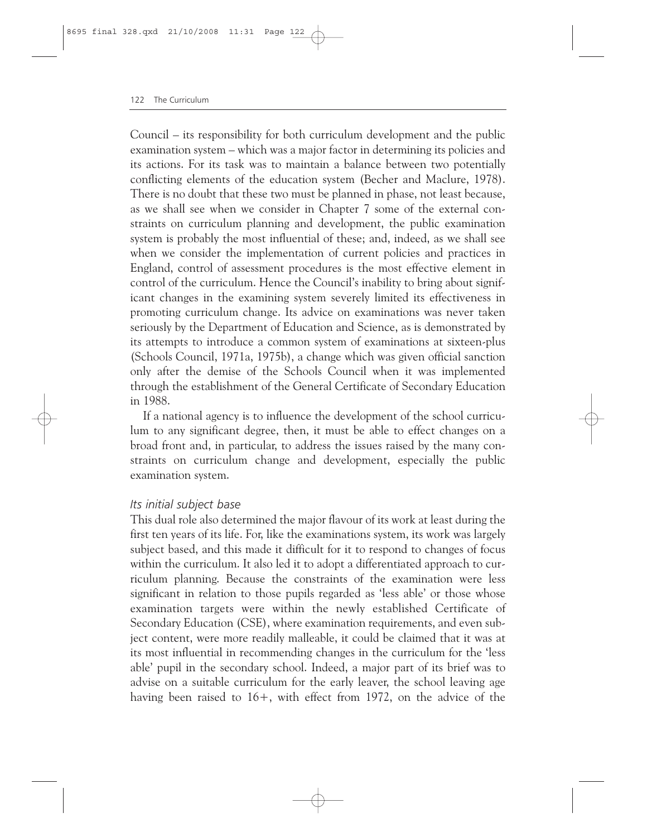Council – its responsibility for both curriculum development and the public examination system – which was a major factor in determining its policies and its actions. For its task was to maintain a balance between two potentially conflicting elements of the education system (Becher and Maclure, 1978). There is no doubt that these two must be planned in phase, not least because, as we shall see when we consider in Chapter 7 some of the external constraints on curriculum planning and development, the public examination system is probably the most influential of these; and, indeed, as we shall see when we consider the implementation of current policies and practices in England, control of assessment procedures is the most effective element in control of the curriculum. Hence the Council's inability to bring about significant changes in the examining system severely limited its effectiveness in promoting curriculum change. Its advice on examinations was never taken seriously by the Department of Education and Science, as is demonstrated by its attempts to introduce a common system of examinations at sixteen-plus (Schools Council, 1971a, 1975b), a change which was given official sanction only after the demise of the Schools Council when it was implemented through the establishment of the General Certificate of Secondary Education in 1988.

If a national agency is to influence the development of the school curriculum to any significant degree, then, it must be able to effect changes on a broad front and, in particular, to address the issues raised by the many constraints on curriculum change and development, especially the public examination system.

## *Its initial subject base*

This dual role also determined the major flavour of its work at least during the first ten years of its life. For, like the examinations system, its work was largely subject based, and this made it difficult for it to respond to changes of focus within the curriculum. It also led it to adopt a differentiated approach to curriculum planning. Because the constraints of the examination were less significant in relation to those pupils regarded as 'less able' or those whose examination targets were within the newly established Certificate of Secondary Education (CSE), where examination requirements, and even subject content, were more readily malleable, it could be claimed that it was at its most influential in recommending changes in the curriculum for the 'less able' pupil in the secondary school. Indeed, a major part of its brief was to advise on a suitable curriculum for the early leaver, the school leaving age having been raised to 16+, with effect from 1972, on the advice of the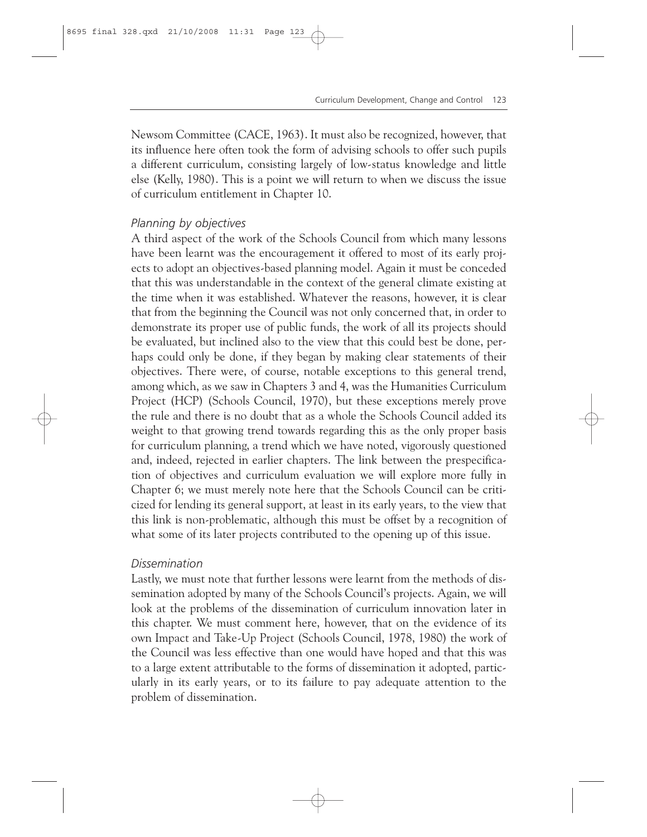Newsom Committee (CACE, 1963). It must also be recognized, however, that its influence here often took the form of advising schools to offer such pupils a different curriculum, consisting largely of low-status knowledge and little else (Kelly, 1980). This is a point we will return to when we discuss the issue of curriculum entitlement in Chapter 10.

#### *Planning by objectives*

A third aspect of the work of the Schools Council from which many lessons have been learnt was the encouragement it offered to most of its early projects to adopt an objectives-based planning model. Again it must be conceded that this was understandable in the context of the general climate existing at the time when it was established. Whatever the reasons, however, it is clear that from the beginning the Council was not only concerned that, in order to demonstrate its proper use of public funds, the work of all its projects should be evaluated, but inclined also to the view that this could best be done, perhaps could only be done, if they began by making clear statements of their objectives. There were, of course, notable exceptions to this general trend, among which, as we saw in Chapters 3 and 4, was the Humanities Curriculum Project (HCP) (Schools Council, 1970), but these exceptions merely prove the rule and there is no doubt that as a whole the Schools Council added its weight to that growing trend towards regarding this as the only proper basis for curriculum planning, a trend which we have noted, vigorously questioned and, indeed, rejected in earlier chapters. The link between the prespecification of objectives and curriculum evaluation we will explore more fully in Chapter 6; we must merely note here that the Schools Council can be criticized for lending its general support, at least in its early years, to the view that this link is non-problematic, although this must be offset by a recognition of what some of its later projects contributed to the opening up of this issue.

## *Dissemination*

Lastly, we must note that further lessons were learnt from the methods of dissemination adopted by many of the Schools Council's projects. Again, we will look at the problems of the dissemination of curriculum innovation later in this chapter. We must comment here, however, that on the evidence of its own Impact and Take-Up Project (Schools Council, 1978, 1980) the work of the Council was less effective than one would have hoped and that this was to a large extent attributable to the forms of dissemination it adopted, particularly in its early years, or to its failure to pay adequate attention to the problem of dissemination.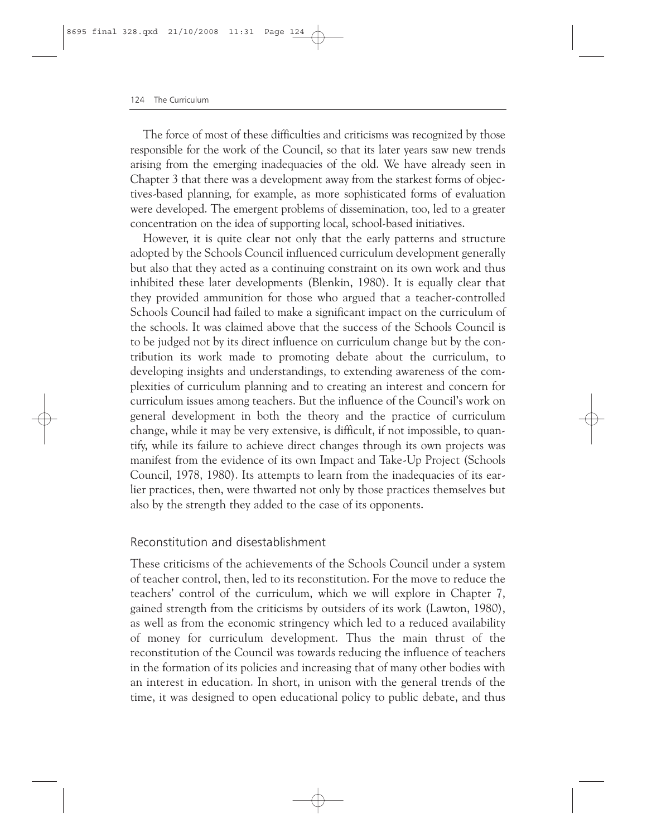The force of most of these difficulties and criticisms was recognized by those responsible for the work of the Council, so that its later years saw new trends arising from the emerging inadequacies of the old. We have already seen in Chapter 3 that there was a development away from the starkest forms of objectives-based planning, for example, as more sophisticated forms of evaluation were developed. The emergent problems of dissemination, too, led to a greater concentration on the idea of supporting local, school-based initiatives.

However, it is quite clear not only that the early patterns and structure adopted by the Schools Council influenced curriculum development generally but also that they acted as a continuing constraint on its own work and thus inhibited these later developments (Blenkin, 1980). It is equally clear that they provided ammunition for those who argued that a teacher-controlled Schools Council had failed to make a significant impact on the curriculum of the schools. It was claimed above that the success of the Schools Council is to be judged not by its direct influence on curriculum change but by the contribution its work made to promoting debate about the curriculum, to developing insights and understandings, to extending awareness of the complexities of curriculum planning and to creating an interest and concern for curriculum issues among teachers. But the influence of the Council's work on general development in both the theory and the practice of curriculum change, while it may be very extensive, is difficult, if not impossible, to quantify, while its failure to achieve direct changes through its own projects was manifest from the evidence of its own Impact and Take-Up Project (Schools Council, 1978, 1980). Its attempts to learn from the inadequacies of its earlier practices, then, were thwarted not only by those practices themselves but also by the strength they added to the case of its opponents.

## Reconstitution and disestablishment

These criticisms of the achievements of the Schools Council under a system of teacher control, then, led to its reconstitution. For the move to reduce the teachers' control of the curriculum, which we will explore in Chapter 7, gained strength from the criticisms by outsiders of its work (Lawton, 1980), as well as from the economic stringency which led to a reduced availability of money for curriculum development. Thus the main thrust of the reconstitution of the Council was towards reducing the influence of teachers in the formation of its policies and increasing that of many other bodies with an interest in education. In short, in unison with the general trends of the time, it was designed to open educational policy to public debate, and thus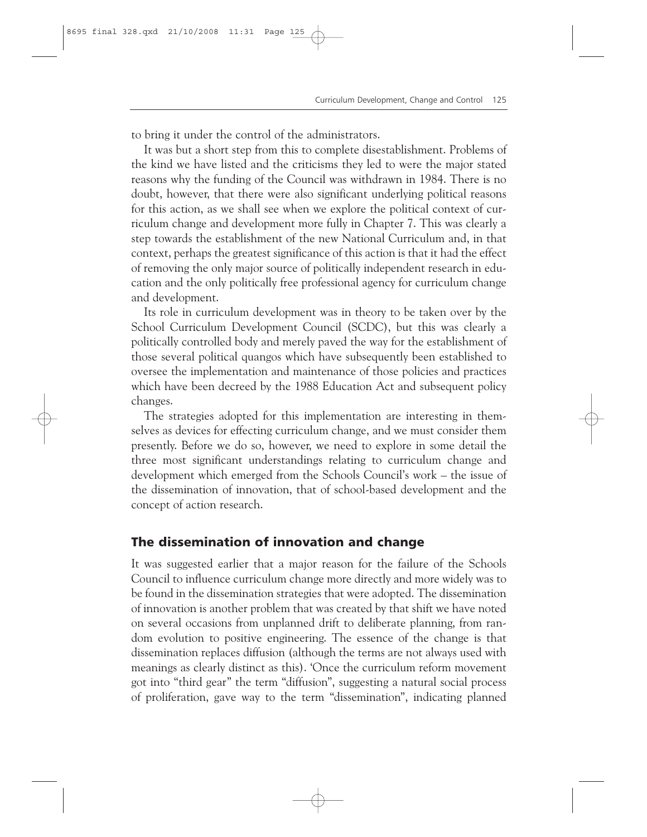to bring it under the control of the administrators.

It was but a short step from this to complete disestablishment. Problems of the kind we have listed and the criticisms they led to were the major stated reasons why the funding of the Council was withdrawn in 1984. There is no doubt, however, that there were also significant underlying political reasons for this action, as we shall see when we explore the political context of curriculum change and development more fully in Chapter 7. This was clearly a step towards the establishment of the new National Curriculum and, in that context, perhaps the greatest significance of this action is that it had the effect of removing the only major source of politically independent research in education and the only politically free professional agency for curriculum change and development.

Its role in curriculum development was in theory to be taken over by the School Curriculum Development Council (SCDC), but this was clearly a politically controlled body and merely paved the way for the establishment of those several political quangos which have subsequently been established to oversee the implementation and maintenance of those policies and practices which have been decreed by the 1988 Education Act and subsequent policy changes.

The strategies adopted for this implementation are interesting in themselves as devices for effecting curriculum change, and we must consider them presently. Before we do so, however, we need to explore in some detail the three most significant understandings relating to curriculum change and development which emerged from the Schools Council's work – the issue of the dissemination of innovation, that of school-based development and the concept of action research.

## The dissemination of innovation and change

It was suggested earlier that a major reason for the failure of the Schools Council to influence curriculum change more directly and more widely was to be found in the dissemination strategies that were adopted. The dissemination of innovation is another problem that was created by that shift we have noted on several occasions from unplanned drift to deliberate planning, from random evolution to positive engineering. The essence of the change is that dissemination replaces diffusion (although the terms are not always used with meanings as clearly distinct as this). 'Once the curriculum reform movement got into "third gear" the term "diffusion", suggesting a natural social process of proliferation, gave way to the term "dissemination", indicating planned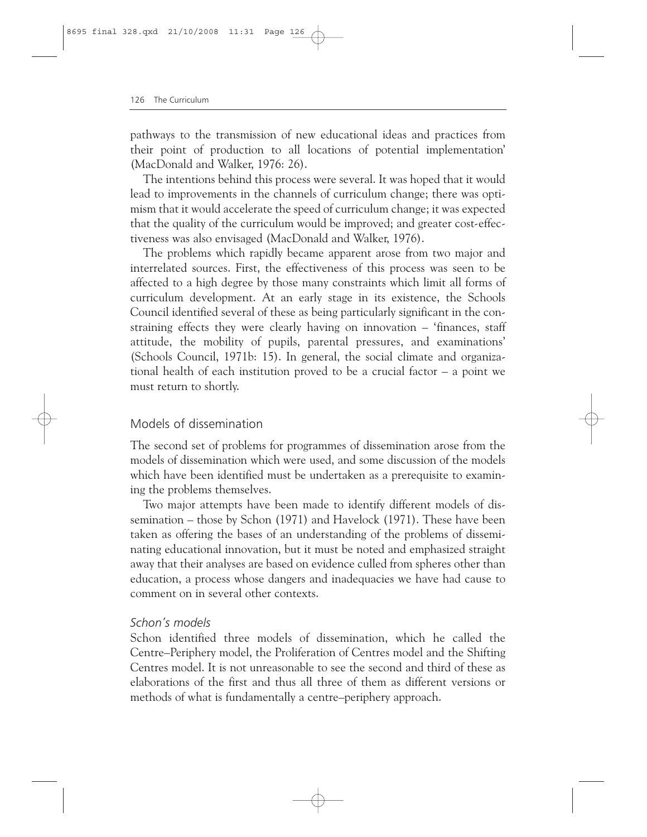pathways to the transmission of new educational ideas and practices from their point of production to all locations of potential implementation' (MacDonald and Walker, 1976: 26).

The intentions behind this process were several. It was hoped that it would lead to improvements in the channels of curriculum change; there was optimism that it would accelerate the speed of curriculum change; it was expected that the quality of the curriculum would be improved; and greater cost-effectiveness was also envisaged (MacDonald and Walker, 1976).

The problems which rapidly became apparent arose from two major and interrelated sources. First, the effectiveness of this process was seen to be affected to a high degree by those many constraints which limit all forms of curriculum development. At an early stage in its existence, the Schools Council identified several of these as being particularly significant in the constraining effects they were clearly having on innovation – 'finances, staff attitude, the mobility of pupils, parental pressures, and examinations' (Schools Council, 1971b: 15). In general, the social climate and organizational health of each institution proved to be a crucial factor – a point we must return to shortly.

## Models of dissemination

The second set of problems for programmes of dissemination arose from the models of dissemination which were used, and some discussion of the models which have been identified must be undertaken as a prerequisite to examining the problems themselves.

Two major attempts have been made to identify different models of dissemination – those by Schon (1971) and Havelock (1971). These have been taken as offering the bases of an understanding of the problems of disseminating educational innovation, but it must be noted and emphasized straight away that their analyses are based on evidence culled from spheres other than education, a process whose dangers and inadequacies we have had cause to comment on in several other contexts.

## *Schon's models*

Schon identified three models of dissemination, which he called the Centre–Periphery model, the Proliferation of Centres model and the Shifting Centres model. It is not unreasonable to see the second and third of these as elaborations of the first and thus all three of them as different versions or methods of what is fundamentally a centre–periphery approach.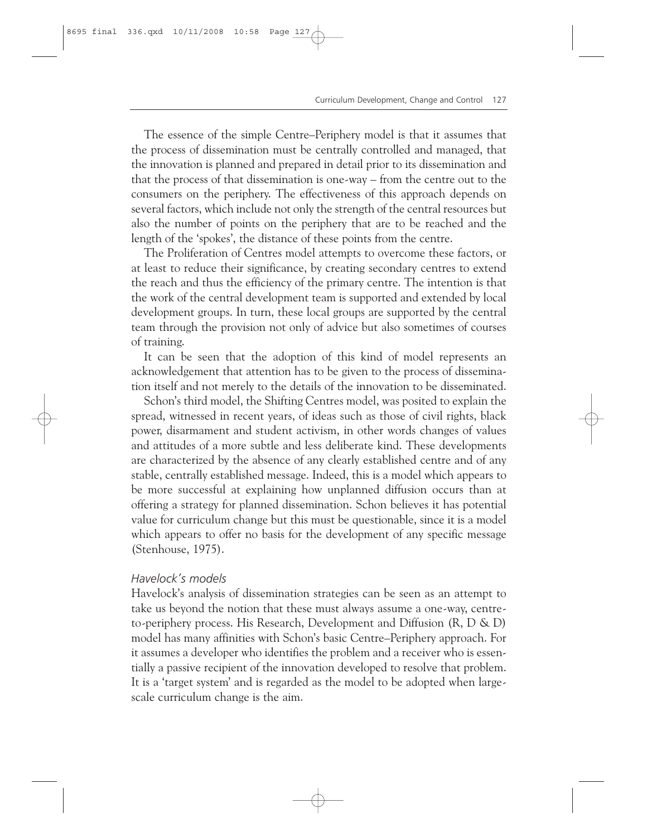The essence of the simple Centre–Periphery model is that it assumes that the process of dissemination must be centrally controlled and managed, that the innovation is planned and prepared in detail prior to its dissemination and that the process of that dissemination is one-way – from the centre out to the consumers on the periphery. The effectiveness of this approach depends on several factors, which include not only the strength of the central resources but also the number of points on the periphery that are to be reached and the length of the 'spokes', the distance of these points from the centre.

The Proliferation of Centres model attempts to overcome these factors, or at least to reduce their significance, by creating secondary centres to extend the reach and thus the efficiency of the primary centre. The intention is that the work of the central development team is supported and extended by local development groups. In turn, these local groups are supported by the central team through the provision not only of advice but also sometimes of courses of training.

It can be seen that the adoption of this kind of model represents an acknowledgement that attention has to be given to the process of dissemination itself and not merely to the details of the innovation to be disseminated.

Schon's third model, the Shifting Centres model, was posited to explain the spread, witnessed in recent years, of ideas such as those of civil rights, black power, disarmament and student activism, in other words changes of values and attitudes of a more subtle and less deliberate kind. These developments are characterized by the absence of any clearly established centre and of any stable, centrally established message. Indeed, this is a model which appears to be more successful at explaining how unplanned diffusion occurs than at offering a strategy for planned dissemination. Schon believes it has potential value for curriculum change but this must be questionable, since it is a model which appears to offer no basis for the development of any specific message (Stenhouse, 1975).

## *Havelock's models*

Havelock's analysis of dissemination strategies can be seen as an attempt to take us beyond the notion that these must always assume a one-way, centreto-periphery process. His Research, Development and Diffusion (R, D & D) model has many affinities with Schon's basic Centre–Periphery approach. For it assumes a developer who identifies the problem and a receiver who is essentially a passive recipient of the innovation developed to resolve that problem. It is a 'target system' and is regarded as the model to be adopted when largescale curriculum change is the aim.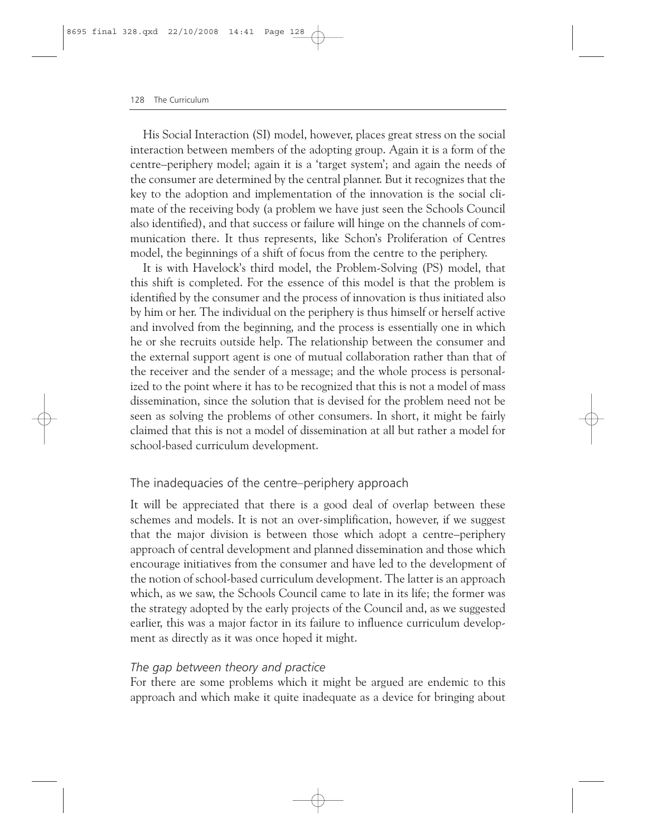His Social Interaction (SI) model, however, places great stress on the social interaction between members of the adopting group. Again it is a form of the centre–periphery model; again it is a 'target system'; and again the needs of the consumer are determined by the central planner. But it recognizes that the key to the adoption and implementation of the innovation is the social climate of the receiving body (a problem we have just seen the Schools Council also identified), and that success or failure will hinge on the channels of communication there. It thus represents, like Schon's Proliferation of Centres model, the beginnings of a shift of focus from the centre to the periphery.

It is with Havelock's third model, the Problem-Solving (PS) model, that this shift is completed. For the essence of this model is that the problem is identified by the consumer and the process of innovation is thus initiated also by him or her. The individual on the periphery is thus himself or herself active and involved from the beginning, and the process is essentially one in which he or she recruits outside help. The relationship between the consumer and the external support agent is one of mutual collaboration rather than that of the receiver and the sender of a message; and the whole process is personalized to the point where it has to be recognized that this is not a model of mass dissemination, since the solution that is devised for the problem need not be seen as solving the problems of other consumers. In short, it might be fairly claimed that this is not a model of dissemination at all but rather a model for school-based curriculum development.

## The inadequacies of the centre–periphery approach

It will be appreciated that there is a good deal of overlap between these schemes and models. It is not an over-simplification, however, if we suggest that the major division is between those which adopt a centre–periphery approach of central development and planned dissemination and those which encourage initiatives from the consumer and have led to the development of the notion of school-based curriculum development. The latter is an approach which, as we saw, the Schools Council came to late in its life; the former was the strategy adopted by the early projects of the Council and, as we suggested earlier, this was a major factor in its failure to influence curriculum development as directly as it was once hoped it might.

## *The gap between theory and practice*

For there are some problems which it might be argued are endemic to this approach and which make it quite inadequate as a device for bringing about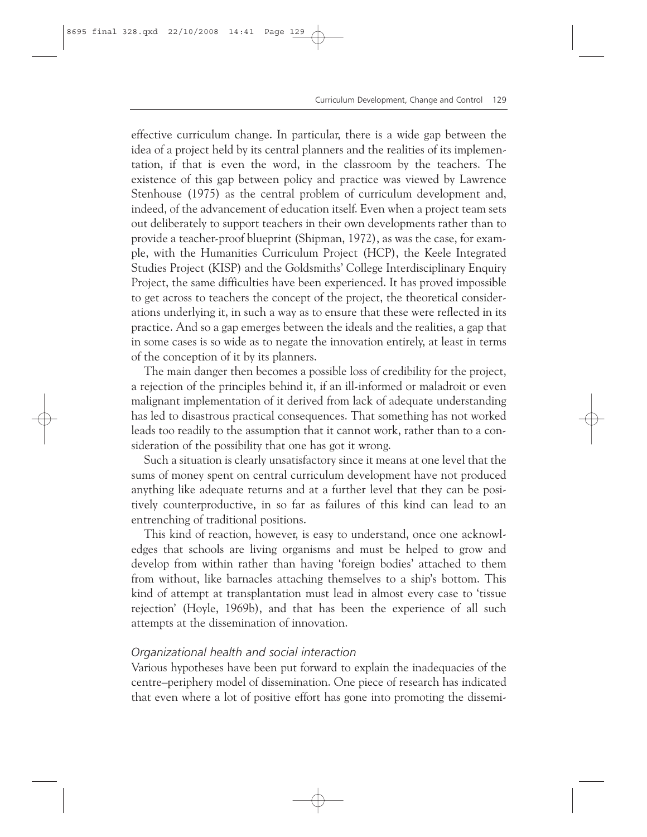Curriculum Development, Change and Control 129

8695 final 328.qxd 22/10/2008

effective curriculum change. In particular, there is a wide gap between the idea of a project held by its central planners and the realities of its implementation, if that is even the word, in the classroom by the teachers. The existence of this gap between policy and practice was viewed by Lawrence Stenhouse (1975) as the central problem of curriculum development and, indeed, of the advancement of education itself. Even when a project team sets out deliberately to support teachers in their own developments rather than to provide a teacher-proof blueprint (Shipman, 1972), as was the case, for example, with the Humanities Curriculum Project (HCP), the Keele Integrated Studies Project (KISP) and the Goldsmiths' College Interdisciplinary Enquiry Project, the same difficulties have been experienced. It has proved impossible to get across to teachers the concept of the project, the theoretical considerations underlying it, in such a way as to ensure that these were reflected in its practice. And so a gap emerges between the ideals and the realities, a gap that in some cases is so wide as to negate the innovation entirely, at least in terms of the conception of it by its planners.

The main danger then becomes a possible loss of credibility for the project, a rejection of the principles behind it, if an ill-informed or maladroit or even malignant implementation of it derived from lack of adequate understanding has led to disastrous practical consequences. That something has not worked leads too readily to the assumption that it cannot work, rather than to a consideration of the possibility that one has got it wrong.

Such a situation is clearly unsatisfactory since it means at one level that the sums of money spent on central curriculum development have not produced anything like adequate returns and at a further level that they can be positively counterproductive, in so far as failures of this kind can lead to an entrenching of traditional positions.

This kind of reaction, however, is easy to understand, once one acknowledges that schools are living organisms and must be helped to grow and develop from within rather than having 'foreign bodies' attached to them from without, like barnacles attaching themselves to a ship's bottom. This kind of attempt at transplantation must lead in almost every case to 'tissue rejection' (Hoyle, 1969b), and that has been the experience of all such attempts at the dissemination of innovation.

## *Organizational health and social interaction*

Various hypotheses have been put forward to explain the inadequacies of the centre–periphery model of dissemination. One piece of research has indicated that even where a lot of positive effort has gone into promoting the dissemi-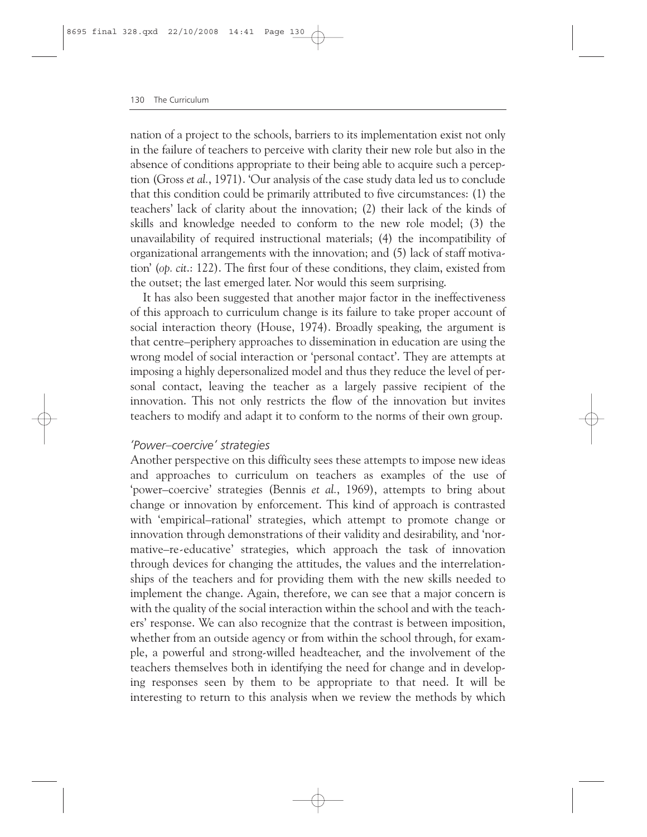nation of a project to the schools, barriers to its implementation exist not only in the failure of teachers to perceive with clarity their new role but also in the absence of conditions appropriate to their being able to acquire such a perception (Gross *et al.*, 1971). 'Our analysis of the case study data led us to conclude that this condition could be primarily attributed to five circumstances: (1) the teachers' lack of clarity about the innovation; (2) their lack of the kinds of skills and knowledge needed to conform to the new role model; (3) the unavailability of required instructional materials; (4) the incompatibility of organizational arrangements with the innovation; and (5) lack of staff motivation' (*op. cit*.: 122). The first four of these conditions, they claim, existed from the outset; the last emerged later. Nor would this seem surprising.

It has also been suggested that another major factor in the ineffectiveness of this approach to curriculum change is its failure to take proper account of social interaction theory (House, 1974). Broadly speaking, the argument is that centre–periphery approaches to dissemination in education are using the wrong model of social interaction or 'personal contact'. They are attempts at imposing a highly depersonalized model and thus they reduce the level of personal contact, leaving the teacher as a largely passive recipient of the innovation. This not only restricts the flow of the innovation but invites teachers to modify and adapt it to conform to the norms of their own group.

#### *'Power–coercive' strategies*

Another perspective on this difficulty sees these attempts to impose new ideas and approaches to curriculum on teachers as examples of the use of 'power–coercive' strategies (Bennis *et al.*, 1969), attempts to bring about change or innovation by enforcement. This kind of approach is contrasted with 'empirical–rational' strategies, which attempt to promote change or innovation through demonstrations of their validity and desirability, and 'normative–re-educative' strategies, which approach the task of innovation through devices for changing the attitudes, the values and the interrelationships of the teachers and for providing them with the new skills needed to implement the change. Again, therefore, we can see that a major concern is with the quality of the social interaction within the school and with the teachers' response. We can also recognize that the contrast is between imposition, whether from an outside agency or from within the school through, for example, a powerful and strong-willed headteacher, and the involvement of the teachers themselves both in identifying the need for change and in developing responses seen by them to be appropriate to that need. It will be interesting to return to this analysis when we review the methods by which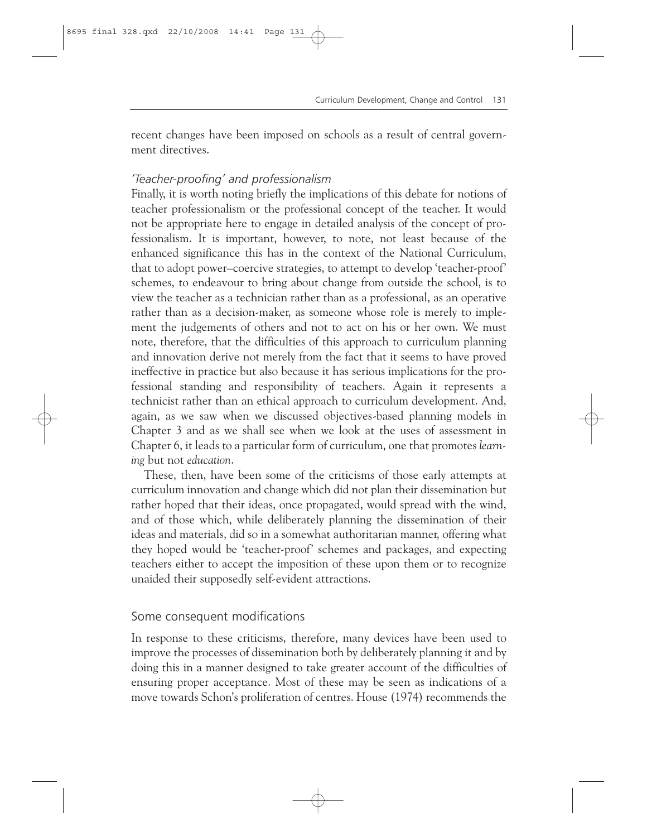recent changes have been imposed on schools as a result of central government directives.

## *'Teacher-proofing' and professionalism*

Finally, it is worth noting briefly the implications of this debate for notions of teacher professionalism or the professional concept of the teacher. It would not be appropriate here to engage in detailed analysis of the concept of professionalism. It is important, however, to note, not least because of the enhanced significance this has in the context of the National Curriculum, that to adopt power–coercive strategies, to attempt to develop 'teacher-proof' schemes, to endeavour to bring about change from outside the school, is to view the teacher as a technician rather than as a professional, as an operative rather than as a decision-maker, as someone whose role is merely to implement the judgements of others and not to act on his or her own. We must note, therefore, that the difficulties of this approach to curriculum planning and innovation derive not merely from the fact that it seems to have proved ineffective in practice but also because it has serious implications for the professional standing and responsibility of teachers. Again it represents a technicist rather than an ethical approach to curriculum development. And, again, as we saw when we discussed objectives-based planning models in Chapter 3 and as we shall see when we look at the uses of assessment in Chapter 6, it leads to a particular form of curriculum, one that promotes *learning* but not *education*.

These, then, have been some of the criticisms of those early attempts at curriculum innovation and change which did not plan their dissemination but rather hoped that their ideas, once propagated, would spread with the wind, and of those which, while deliberately planning the dissemination of their ideas and materials, did so in a somewhat authoritarian manner, offering what they hoped would be 'teacher-proof' schemes and packages, and expecting teachers either to accept the imposition of these upon them or to recognize unaided their supposedly self-evident attractions.

## Some consequent modifications

In response to these criticisms, therefore, many devices have been used to improve the processes of dissemination both by deliberately planning it and by doing this in a manner designed to take greater account of the difficulties of ensuring proper acceptance. Most of these may be seen as indications of a move towards Schon's proliferation of centres. House (1974) recommends the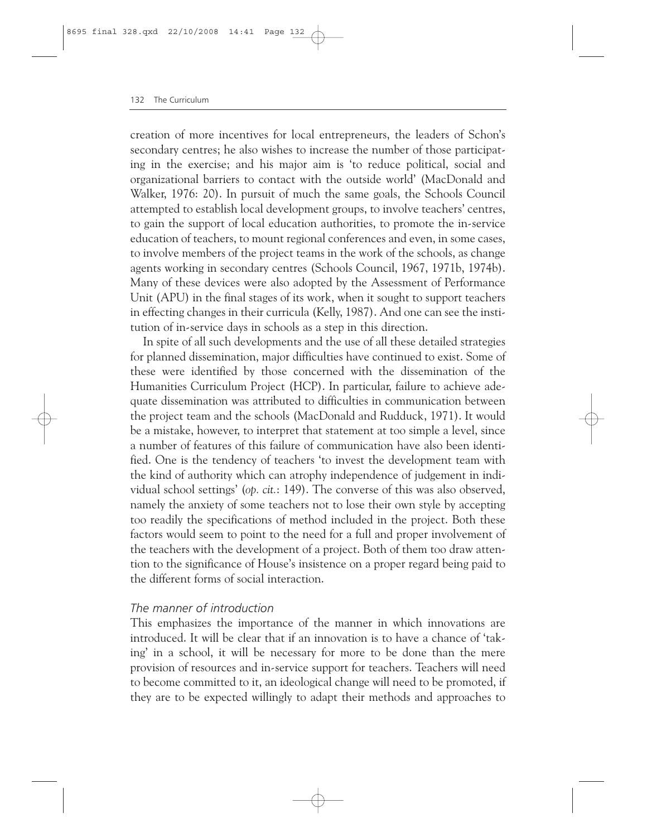creation of more incentives for local entrepreneurs, the leaders of Schon's secondary centres; he also wishes to increase the number of those participating in the exercise; and his major aim is 'to reduce political, social and organizational barriers to contact with the outside world' (MacDonald and Walker, 1976: 20). In pursuit of much the same goals, the Schools Council attempted to establish local development groups, to involve teachers' centres, to gain the support of local education authorities, to promote the in-service education of teachers, to mount regional conferences and even, in some cases, to involve members of the project teams in the work of the schools, as change agents working in secondary centres (Schools Council, 1967, 1971b, 1974b). Many of these devices were also adopted by the Assessment of Performance Unit (APU) in the final stages of its work, when it sought to support teachers in effecting changes in their curricula (Kelly, 1987). And one can see the institution of in-service days in schools as a step in this direction.

In spite of all such developments and the use of all these detailed strategies for planned dissemination, major difficulties have continued to exist. Some of these were identified by those concerned with the dissemination of the Humanities Curriculum Project (HCP). In particular, failure to achieve adequate dissemination was attributed to difficulties in communication between the project team and the schools (MacDonald and Rudduck, 1971). It would be a mistake, however, to interpret that statement at too simple a level, since a number of features of this failure of communication have also been identified. One is the tendency of teachers 'to invest the development team with the kind of authority which can atrophy independence of judgement in individual school settings' (*op. cit.*: 149). The converse of this was also observed, namely the anxiety of some teachers not to lose their own style by accepting too readily the specifications of method included in the project. Both these factors would seem to point to the need for a full and proper involvement of the teachers with the development of a project. Both of them too draw attention to the significance of House's insistence on a proper regard being paid to the different forms of social interaction.

## *The manner of introduction*

This emphasizes the importance of the manner in which innovations are introduced. It will be clear that if an innovation is to have a chance of 'taking' in a school, it will be necessary for more to be done than the mere provision of resources and in-service support for teachers. Teachers will need to become committed to it, an ideological change will need to be promoted, if they are to be expected willingly to adapt their methods and approaches to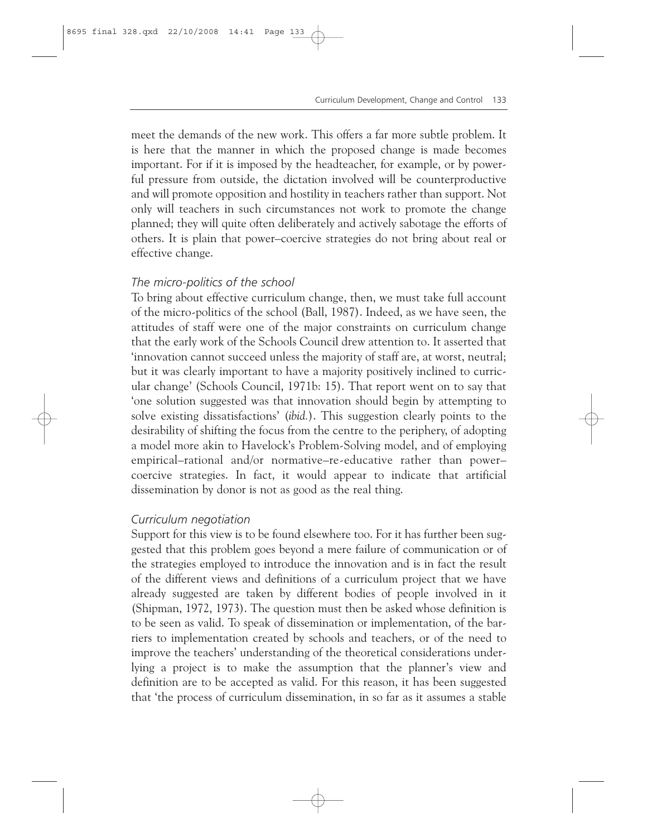meet the demands of the new work. This offers a far more subtle problem. It is here that the manner in which the proposed change is made becomes important. For if it is imposed by the headteacher, for example, or by powerful pressure from outside, the dictation involved will be counterproductive and will promote opposition and hostility in teachers rather than support. Not only will teachers in such circumstances not work to promote the change planned; they will quite often deliberately and actively sabotage the efforts of others. It is plain that power–coercive strategies do not bring about real or effective change.

## *The micro-politics of the school*

To bring about effective curriculum change, then, we must take full account of the micro-politics of the school (Ball, 1987). Indeed, as we have seen, the attitudes of staff were one of the major constraints on curriculum change that the early work of the Schools Council drew attention to. It asserted that 'innovation cannot succeed unless the majority of staff are, at worst, neutral; but it was clearly important to have a majority positively inclined to curricular change' (Schools Council, 1971b: 15). That report went on to say that 'one solution suggested was that innovation should begin by attempting to solve existing dissatisfactions' (*ibid.*). This suggestion clearly points to the desirability of shifting the focus from the centre to the periphery, of adopting a model more akin to Havelock's Problem-Solving model, and of employing empirical–rational and/or normative–re-educative rather than power– coercive strategies. In fact, it would appear to indicate that artificial dissemination by donor is not as good as the real thing.

## *Curriculum negotiation*

Support for this view is to be found elsewhere too. For it has further been suggested that this problem goes beyond a mere failure of communication or of the strategies employed to introduce the innovation and is in fact the result of the different views and definitions of a curriculum project that we have already suggested are taken by different bodies of people involved in it (Shipman, 1972, 1973). The question must then be asked whose definition is to be seen as valid. To speak of dissemination or implementation, of the barriers to implementation created by schools and teachers, or of the need to improve the teachers' understanding of the theoretical considerations underlying a project is to make the assumption that the planner's view and definition are to be accepted as valid. For this reason, it has been suggested that 'the process of curriculum dissemination, in so far as it assumes a stable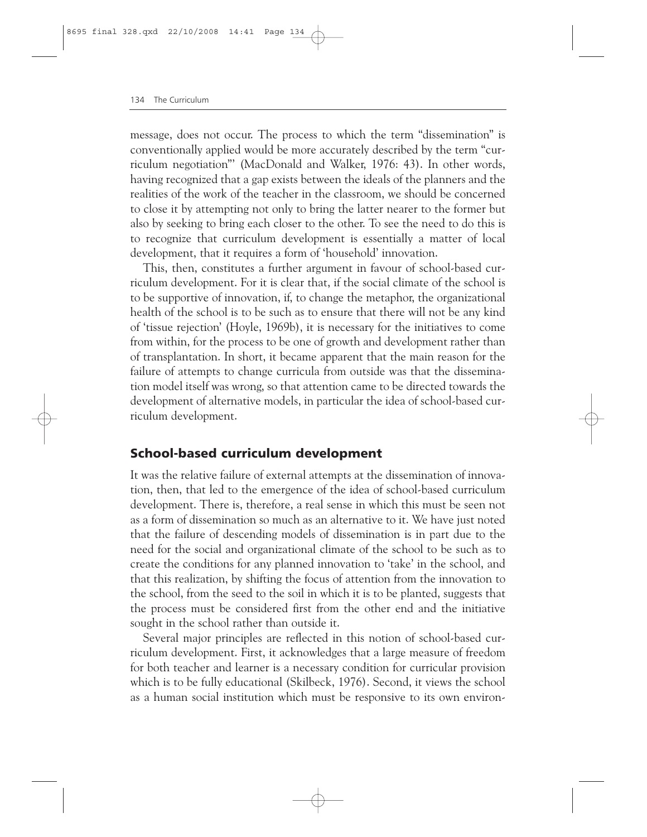message, does not occur. The process to which the term "dissemination" is conventionally applied would be more accurately described by the term "curriculum negotiation"' (MacDonald and Walker, 1976: 43). In other words, having recognized that a gap exists between the ideals of the planners and the realities of the work of the teacher in the classroom, we should be concerned to close it by attempting not only to bring the latter nearer to the former but also by seeking to bring each closer to the other. To see the need to do this is to recognize that curriculum development is essentially a matter of local development, that it requires a form of 'household' innovation.

This, then, constitutes a further argument in favour of school-based curriculum development. For it is clear that, if the social climate of the school is to be supportive of innovation, if, to change the metaphor, the organizational health of the school is to be such as to ensure that there will not be any kind of 'tissue rejection' (Hoyle, 1969b), it is necessary for the initiatives to come from within, for the process to be one of growth and development rather than of transplantation. In short, it became apparent that the main reason for the failure of attempts to change curricula from outside was that the dissemination model itself was wrong, so that attention came to be directed towards the development of alternative models, in particular the idea of school-based curriculum development.

## School-based curriculum development

It was the relative failure of external attempts at the dissemination of innovation, then, that led to the emergence of the idea of school-based curriculum development. There is, therefore, a real sense in which this must be seen not as a form of dissemination so much as an alternative to it. We have just noted that the failure of descending models of dissemination is in part due to the need for the social and organizational climate of the school to be such as to create the conditions for any planned innovation to 'take' in the school, and that this realization, by shifting the focus of attention from the innovation to the school, from the seed to the soil in which it is to be planted, suggests that the process must be considered first from the other end and the initiative sought in the school rather than outside it.

Several major principles are reflected in this notion of school-based curriculum development. First, it acknowledges that a large measure of freedom for both teacher and learner is a necessary condition for curricular provision which is to be fully educational (Skilbeck, 1976). Second, it views the school as a human social institution which must be responsive to its own environ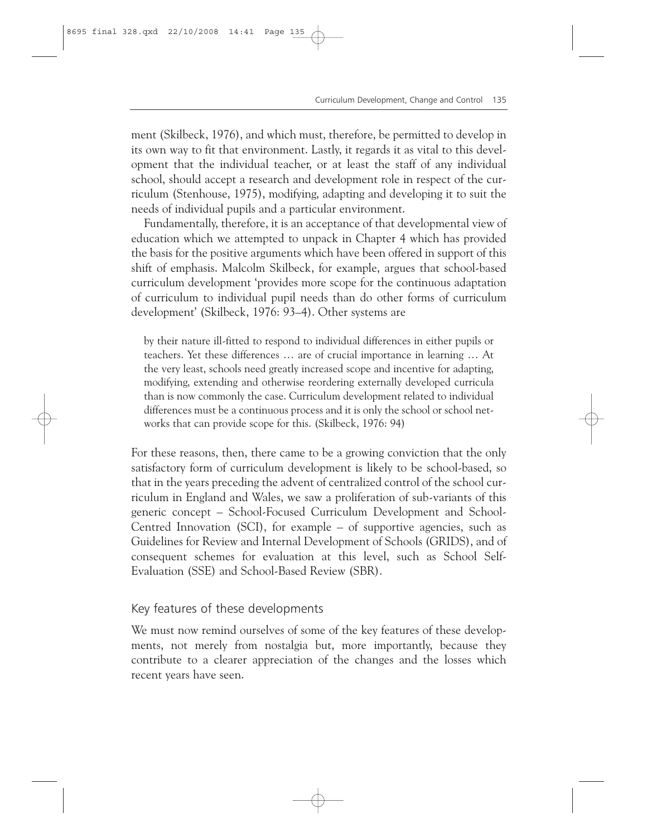ment (Skilbeck, 1976), and which must, therefore, be permitted to develop in its own way to fit that environment. Lastly, it regards it as vital to this development that the individual teacher, or at least the staff of any individual school, should accept a research and development role in respect of the curriculum (Stenhouse, 1975), modifying, adapting and developing it to suit the needs of individual pupils and a particular environment.

Fundamentally, therefore, it is an acceptance of that developmental view of education which we attempted to unpack in Chapter 4 which has provided the basis for the positive arguments which have been offered in support of this shift of emphasis. Malcolm Skilbeck, for example, argues that school-based curriculum development 'provides more scope for the continuous adaptation of curriculum to individual pupil needs than do other forms of curriculum development' (Skilbeck, 1976: 93–4). Other systems are

by their nature ill-fitted to respond to individual differences in either pupils or teachers. Yet these differences … are of crucial importance in learning … At the very least, schools need greatly increased scope and incentive for adapting, modifying, extending and otherwise reordering externally developed curricula than is now commonly the case. Curriculum development related to individual differences must be a continuous process and it is only the school or school networks that can provide scope for this. (Skilbeck, 1976: 94)

For these reasons, then, there came to be a growing conviction that the only satisfactory form of curriculum development is likely to be school-based, so that in the years preceding the advent of centralized control of the school curriculum in England and Wales, we saw a proliferation of sub-variants of this generic concept – School-Focused Curriculum Development and School-Centred Innovation (SCI), for example – of supportive agencies, such as Guidelines for Review and Internal Development of Schools (GRIDS), and of consequent schemes for evaluation at this level, such as School Self-Evaluation (SSE) and School-Based Review (SBR).

## Key features of these developments

We must now remind ourselves of some of the key features of these developments, not merely from nostalgia but, more importantly, because they contribute to a clearer appreciation of the changes and the losses which recent years have seen.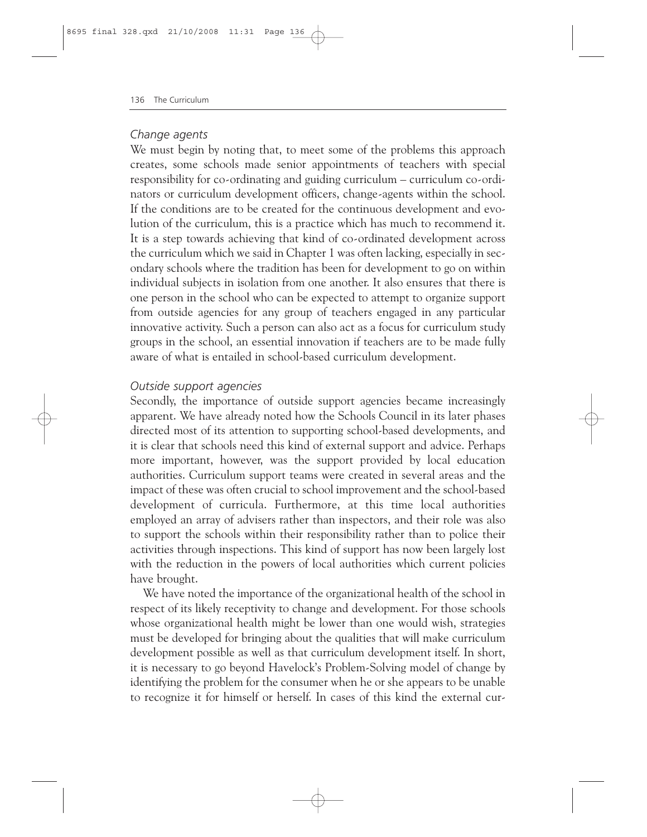## *Change agents*

We must begin by noting that, to meet some of the problems this approach creates, some schools made senior appointments of teachers with special responsibility for co-ordinating and guiding curriculum – curriculum co-ordinators or curriculum development officers, change-agents within the school. If the conditions are to be created for the continuous development and evolution of the curriculum, this is a practice which has much to recommend it. It is a step towards achieving that kind of co-ordinated development across the curriculum which we said in Chapter 1 was often lacking, especially in secondary schools where the tradition has been for development to go on within individual subjects in isolation from one another. It also ensures that there is one person in the school who can be expected to attempt to organize support from outside agencies for any group of teachers engaged in any particular innovative activity. Such a person can also act as a focus for curriculum study groups in the school, an essential innovation if teachers are to be made fully aware of what is entailed in school-based curriculum development.

## *Outside support agencies*

Secondly, the importance of outside support agencies became increasingly apparent. We have already noted how the Schools Council in its later phases directed most of its attention to supporting school-based developments, and it is clear that schools need this kind of external support and advice. Perhaps more important, however, was the support provided by local education authorities. Curriculum support teams were created in several areas and the impact of these was often crucial to school improvement and the school-based development of curricula. Furthermore, at this time local authorities employed an array of advisers rather than inspectors, and their role was also to support the schools within their responsibility rather than to police their activities through inspections. This kind of support has now been largely lost with the reduction in the powers of local authorities which current policies have brought.

We have noted the importance of the organizational health of the school in respect of its likely receptivity to change and development. For those schools whose organizational health might be lower than one would wish, strategies must be developed for bringing about the qualities that will make curriculum development possible as well as that curriculum development itself. In short, it is necessary to go beyond Havelock's Problem-Solving model of change by identifying the problem for the consumer when he or she appears to be unable to recognize it for himself or herself. In cases of this kind the external cur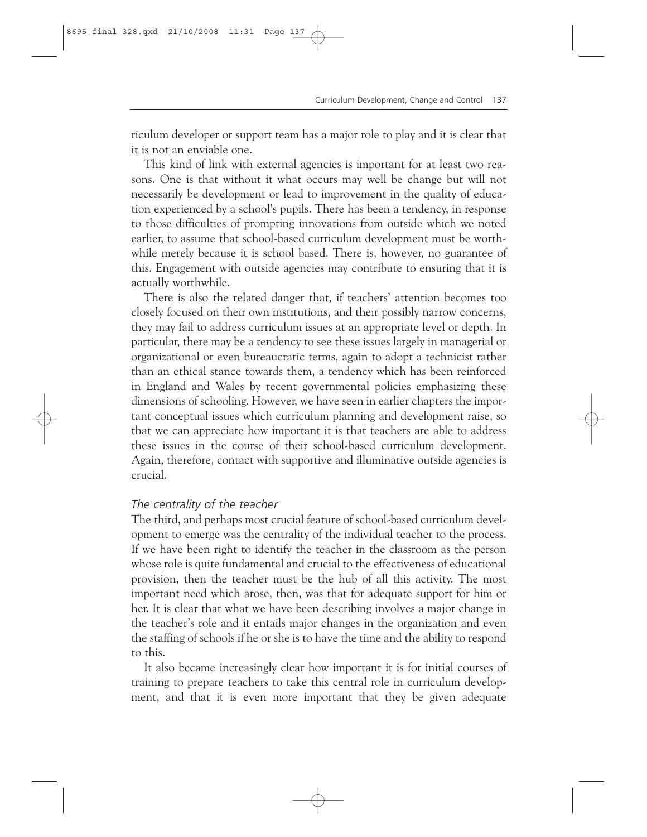riculum developer or support team has a major role to play and it is clear that it is not an enviable one.

This kind of link with external agencies is important for at least two reasons. One is that without it what occurs may well be change but will not necessarily be development or lead to improvement in the quality of education experienced by a school's pupils. There has been a tendency, in response to those difficulties of prompting innovations from outside which we noted earlier, to assume that school-based curriculum development must be worthwhile merely because it is school based. There is, however, no guarantee of this. Engagement with outside agencies may contribute to ensuring that it is actually worthwhile.

There is also the related danger that, if teachers' attention becomes too closely focused on their own institutions, and their possibly narrow concerns, they may fail to address curriculum issues at an appropriate level or depth. In particular, there may be a tendency to see these issues largely in managerial or organizational or even bureaucratic terms, again to adopt a technicist rather than an ethical stance towards them, a tendency which has been reinforced in England and Wales by recent governmental policies emphasizing these dimensions of schooling. However, we have seen in earlier chapters the important conceptual issues which curriculum planning and development raise, so that we can appreciate how important it is that teachers are able to address these issues in the course of their school-based curriculum development. Again, therefore, contact with supportive and illuminative outside agencies is crucial.

## *The centrality of the teacher*

The third, and perhaps most crucial feature of school-based curriculum development to emerge was the centrality of the individual teacher to the process. If we have been right to identify the teacher in the classroom as the person whose role is quite fundamental and crucial to the effectiveness of educational provision, then the teacher must be the hub of all this activity. The most important need which arose, then, was that for adequate support for him or her. It is clear that what we have been describing involves a major change in the teacher's role and it entails major changes in the organization and even the staffing of schools if he or she is to have the time and the ability to respond to this.

It also became increasingly clear how important it is for initial courses of training to prepare teachers to take this central role in curriculum development, and that it is even more important that they be given adequate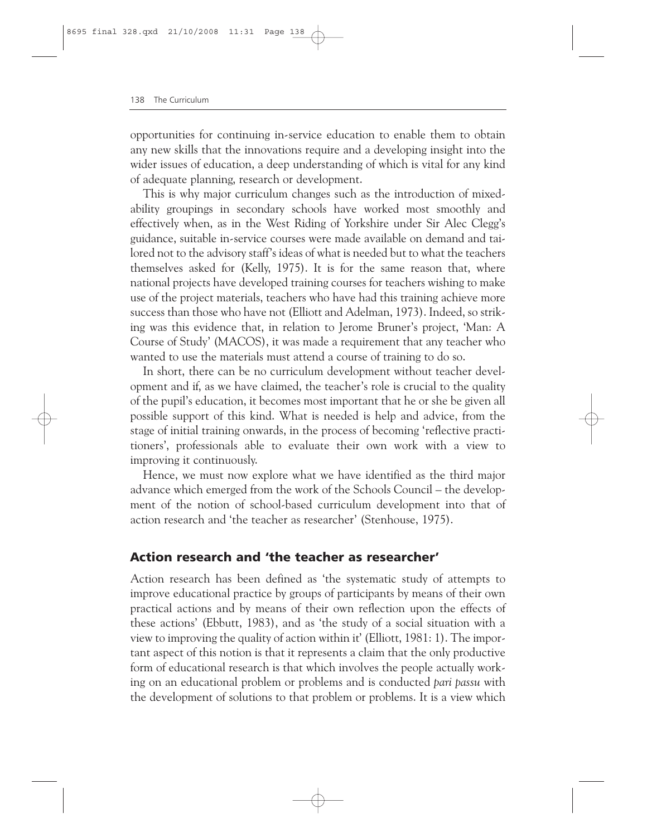opportunities for continuing in-service education to enable them to obtain any new skills that the innovations require and a developing insight into the wider issues of education, a deep understanding of which is vital for any kind of adequate planning, research or development.

This is why major curriculum changes such as the introduction of mixedability groupings in secondary schools have worked most smoothly and effectively when, as in the West Riding of Yorkshire under Sir Alec Clegg's guidance, suitable in-service courses were made available on demand and tailored not to the advisory staff's ideas of what is needed but to what the teachers themselves asked for (Kelly, 1975). It is for the same reason that, where national projects have developed training courses for teachers wishing to make use of the project materials, teachers who have had this training achieve more success than those who have not (Elliott and Adelman, 1973). Indeed, so striking was this evidence that, in relation to Jerome Bruner's project, 'Man: A Course of Study' (MACOS), it was made a requirement that any teacher who wanted to use the materials must attend a course of training to do so.

In short, there can be no curriculum development without teacher development and if, as we have claimed, the teacher's role is crucial to the quality of the pupil's education, it becomes most important that he or she be given all possible support of this kind. What is needed is help and advice, from the stage of initial training onwards, in the process of becoming 'reflective practitioners', professionals able to evaluate their own work with a view to improving it continuously.

Hence, we must now explore what we have identified as the third major advance which emerged from the work of the Schools Council – the development of the notion of school-based curriculum development into that of action research and 'the teacher as researcher' (Stenhouse, 1975).

## Action research and 'the teacher as researcher'

Action research has been defined as 'the systematic study of attempts to improve educational practice by groups of participants by means of their own practical actions and by means of their own reflection upon the effects of these actions' (Ebbutt, 1983), and as 'the study of a social situation with a view to improving the quality of action within it' (Elliott, 1981: 1). The important aspect of this notion is that it represents a claim that the only productive form of educational research is that which involves the people actually working on an educational problem or problems and is conducted *pari passu* with the development of solutions to that problem or problems. It is a view which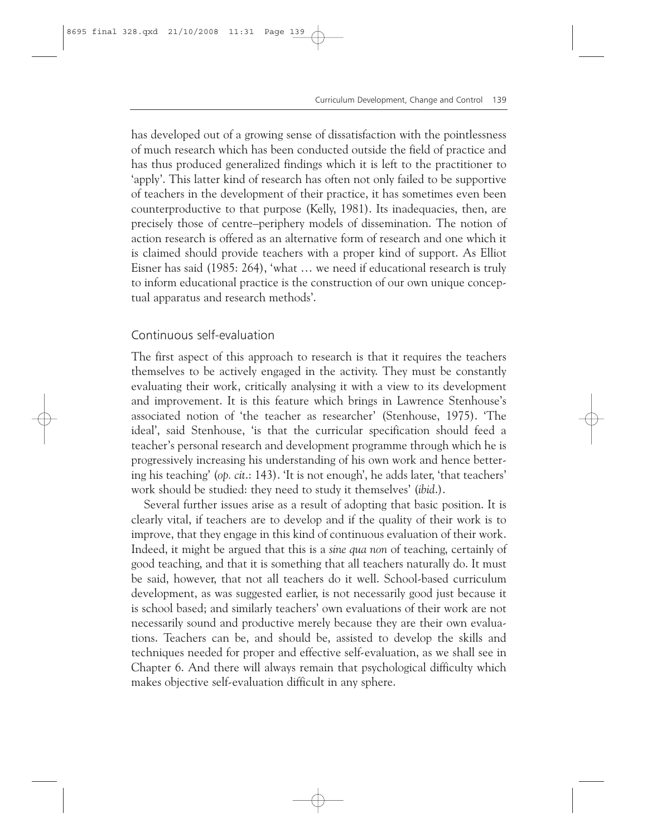Curriculum Development, Change and Control 139

has developed out of a growing sense of dissatisfaction with the pointlessness of much research which has been conducted outside the field of practice and has thus produced generalized findings which it is left to the practitioner to 'apply'. This latter kind of research has often not only failed to be supportive of teachers in the development of their practice, it has sometimes even been counterproductive to that purpose (Kelly, 1981). Its inadequacies, then, are precisely those of centre–periphery models of dissemination. The notion of action research is offered as an alternative form of research and one which it is claimed should provide teachers with a proper kind of support. As Elliot Eisner has said (1985: 264), 'what … we need if educational research is truly to inform educational practice is the construction of our own unique conceptual apparatus and research methods'.

## Continuous self-evaluation

The first aspect of this approach to research is that it requires the teachers themselves to be actively engaged in the activity. They must be constantly evaluating their work, critically analysing it with a view to its development and improvement. It is this feature which brings in Lawrence Stenhouse's associated notion of 'the teacher as researcher' (Stenhouse, 1975). 'The ideal', said Stenhouse, 'is that the curricular specification should feed a teacher's personal research and development programme through which he is progressively increasing his understanding of his own work and hence bettering his teaching' (*op. cit*.: 143). 'It is not enough', he adds later, 'that teachers' work should be studied: they need to study it themselves' (*ibid*.).

Several further issues arise as a result of adopting that basic position. It is clearly vital, if teachers are to develop and if the quality of their work is to improve, that they engage in this kind of continuous evaluation of their work. Indeed, it might be argued that this is a *sine qua non* of teaching, certainly of good teaching, and that it is something that all teachers naturally do. It must be said, however, that not all teachers do it well. School-based curriculum development, as was suggested earlier, is not necessarily good just because it is school based; and similarly teachers' own evaluations of their work are not necessarily sound and productive merely because they are their own evaluations. Teachers can be, and should be, assisted to develop the skills and techniques needed for proper and effective self-evaluation, as we shall see in Chapter 6. And there will always remain that psychological difficulty which makes objective self-evaluation difficult in any sphere.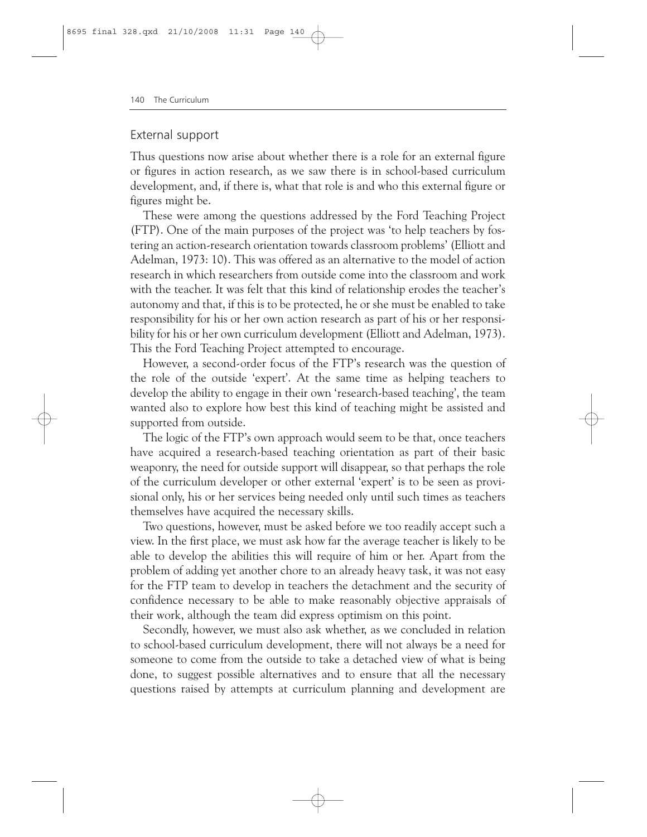#### External support

Thus questions now arise about whether there is a role for an external figure or figures in action research, as we saw there is in school-based curriculum development, and, if there is, what that role is and who this external figure or figures might be.

These were among the questions addressed by the Ford Teaching Project (FTP). One of the main purposes of the project was 'to help teachers by fostering an action-research orientation towards classroom problems' (Elliott and Adelman, 1973: 10). This was offered as an alternative to the model of action research in which researchers from outside come into the classroom and work with the teacher. It was felt that this kind of relationship erodes the teacher's autonomy and that, if this is to be protected, he or she must be enabled to take responsibility for his or her own action research as part of his or her responsibility for his or her own curriculum development (Elliott and Adelman, 1973). This the Ford Teaching Project attempted to encourage.

However, a second-order focus of the FTP's research was the question of the role of the outside 'expert'. At the same time as helping teachers to develop the ability to engage in their own 'research-based teaching', the team wanted also to explore how best this kind of teaching might be assisted and supported from outside.

The logic of the FTP's own approach would seem to be that, once teachers have acquired a research-based teaching orientation as part of their basic weaponry, the need for outside support will disappear, so that perhaps the role of the curriculum developer or other external 'expert' is to be seen as provisional only, his or her services being needed only until such times as teachers themselves have acquired the necessary skills.

Two questions, however, must be asked before we too readily accept such a view. In the first place, we must ask how far the average teacher is likely to be able to develop the abilities this will require of him or her. Apart from the problem of adding yet another chore to an already heavy task, it was not easy for the FTP team to develop in teachers the detachment and the security of confidence necessary to be able to make reasonably objective appraisals of their work, although the team did express optimism on this point.

Secondly, however, we must also ask whether, as we concluded in relation to school-based curriculum development, there will not always be a need for someone to come from the outside to take a detached view of what is being done, to suggest possible alternatives and to ensure that all the necessary questions raised by attempts at curriculum planning and development are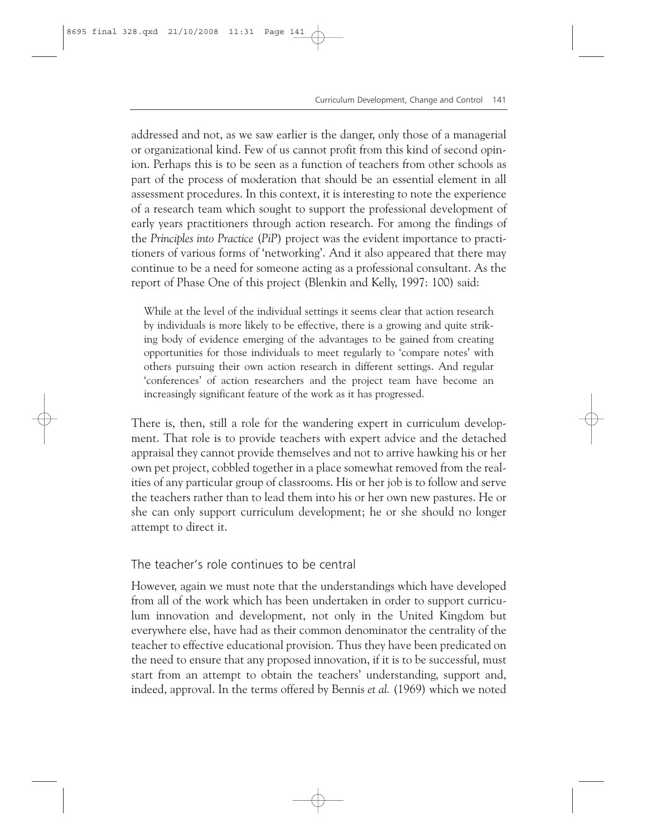Curriculum Development, Change and Control

addressed and not, as we saw earlier is the danger, only those of a managerial or organizational kind. Few of us cannot profit from this kind of second opinion. Perhaps this is to be seen as a function of teachers from other schools as part of the process of moderation that should be an essential element in all assessment procedures. In this context, it is interesting to note the experience of a research team which sought to support the professional development of early years practitioners through action research. For among the findings of the *Principles into Practice* (*PiP*) project was the evident importance to practitioners of various forms of 'networking'. And it also appeared that there may continue to be a need for someone acting as a professional consultant. As the report of Phase One of this project (Blenkin and Kelly, 1997: 100) said:

While at the level of the individual settings it seems clear that action research by individuals is more likely to be effective, there is a growing and quite striking body of evidence emerging of the advantages to be gained from creating opportunities for those individuals to meet regularly to 'compare notes' with others pursuing their own action research in different settings. And regular 'conferences' of action researchers and the project team have become an increasingly significant feature of the work as it has progressed.

There is, then, still a role for the wandering expert in curriculum development. That role is to provide teachers with expert advice and the detached appraisal they cannot provide themselves and not to arrive hawking his or her own pet project, cobbled together in a place somewhat removed from the realities of any particular group of classrooms. His or her job is to follow and serve the teachers rather than to lead them into his or her own new pastures. He or she can only support curriculum development; he or she should no longer attempt to direct it.

## The teacher's role continues to be central

However, again we must note that the understandings which have developed from all of the work which has been undertaken in order to support curriculum innovation and development, not only in the United Kingdom but everywhere else, have had as their common denominator the centrality of the teacher to effective educational provision. Thus they have been predicated on the need to ensure that any proposed innovation, if it is to be successful, must start from an attempt to obtain the teachers' understanding, support and, indeed, approval. In the terms offered by Bennis *et al.* (1969) which we noted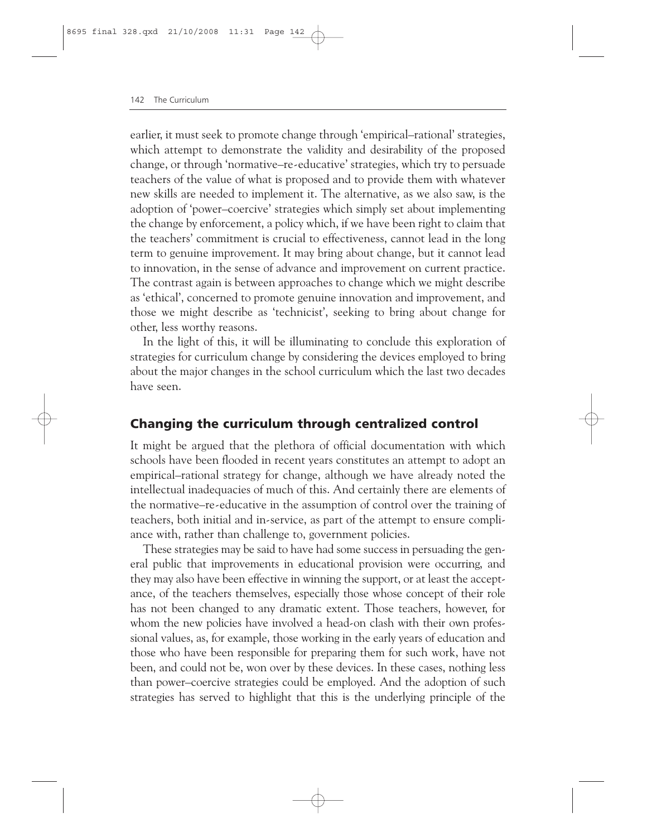earlier, it must seek to promote change through 'empirical–rational' strategies, which attempt to demonstrate the validity and desirability of the proposed change, or through 'normative–re-educative' strategies, which try to persuade teachers of the value of what is proposed and to provide them with whatever new skills are needed to implement it. The alternative, as we also saw, is the adoption of 'power–coercive' strategies which simply set about implementing the change by enforcement, a policy which, if we have been right to claim that the teachers' commitment is crucial to effectiveness, cannot lead in the long term to genuine improvement. It may bring about change, but it cannot lead to innovation, in the sense of advance and improvement on current practice. The contrast again is between approaches to change which we might describe as 'ethical', concerned to promote genuine innovation and improvement, and those we might describe as 'technicist', seeking to bring about change for other, less worthy reasons.

In the light of this, it will be illuminating to conclude this exploration of strategies for curriculum change by considering the devices employed to bring about the major changes in the school curriculum which the last two decades have seen.

## Changing the curriculum through centralized control

It might be argued that the plethora of official documentation with which schools have been flooded in recent years constitutes an attempt to adopt an empirical–rational strategy for change, although we have already noted the intellectual inadequacies of much of this. And certainly there are elements of the normative–re-educative in the assumption of control over the training of teachers, both initial and in-service, as part of the attempt to ensure compliance with, rather than challenge to, government policies.

These strategies may be said to have had some success in persuading the general public that improvements in educational provision were occurring, and they may also have been effective in winning the support, or at least the acceptance, of the teachers themselves, especially those whose concept of their role has not been changed to any dramatic extent. Those teachers, however, for whom the new policies have involved a head-on clash with their own professional values, as, for example, those working in the early years of education and those who have been responsible for preparing them for such work, have not been, and could not be, won over by these devices. In these cases, nothing less than power–coercive strategies could be employed. And the adoption of such strategies has served to highlight that this is the underlying principle of the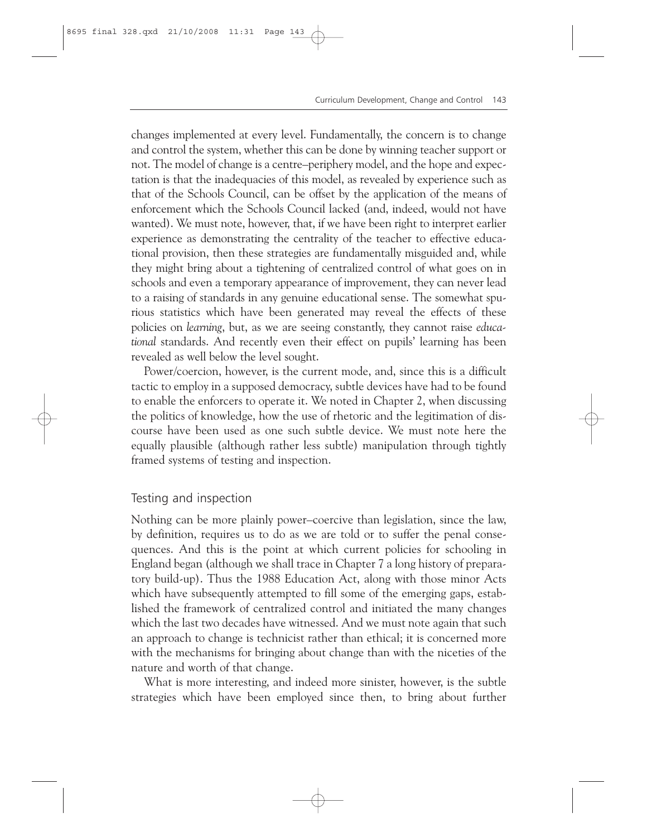Curriculum Development, Change and Control

changes implemented at every level. Fundamentally, the concern is to change and control the system, whether this can be done by winning teacher support or not. The model of change is a centre–periphery model, and the hope and expectation is that the inadequacies of this model, as revealed by experience such as that of the Schools Council, can be offset by the application of the means of enforcement which the Schools Council lacked (and, indeed, would not have wanted). We must note, however, that, if we have been right to interpret earlier experience as demonstrating the centrality of the teacher to effective educational provision, then these strategies are fundamentally misguided and, while they might bring about a tightening of centralized control of what goes on in schools and even a temporary appearance of improvement, they can never lead to a raising of standards in any genuine educational sense. The somewhat spurious statistics which have been generated may reveal the effects of these policies on *learning*, but, as we are seeing constantly, they cannot raise *educational* standards. And recently even their effect on pupils' learning has been revealed as well below the level sought.

Power/coercion, however, is the current mode, and, since this is a difficult tactic to employ in a supposed democracy, subtle devices have had to be found to enable the enforcers to operate it. We noted in Chapter 2, when discussing the politics of knowledge, how the use of rhetoric and the legitimation of discourse have been used as one such subtle device. We must note here the equally plausible (although rather less subtle) manipulation through tightly framed systems of testing and inspection.

Testing and inspection

Nothing can be more plainly power–coercive than legislation, since the law, by definition, requires us to do as we are told or to suffer the penal consequences. And this is the point at which current policies for schooling in England began (although we shall trace in Chapter 7 a long history of preparatory build-up). Thus the 1988 Education Act, along with those minor Acts which have subsequently attempted to fill some of the emerging gaps, established the framework of centralized control and initiated the many changes which the last two decades have witnessed. And we must note again that such an approach to change is technicist rather than ethical; it is concerned more with the mechanisms for bringing about change than with the niceties of the nature and worth of that change.

What is more interesting, and indeed more sinister, however, is the subtle strategies which have been employed since then, to bring about further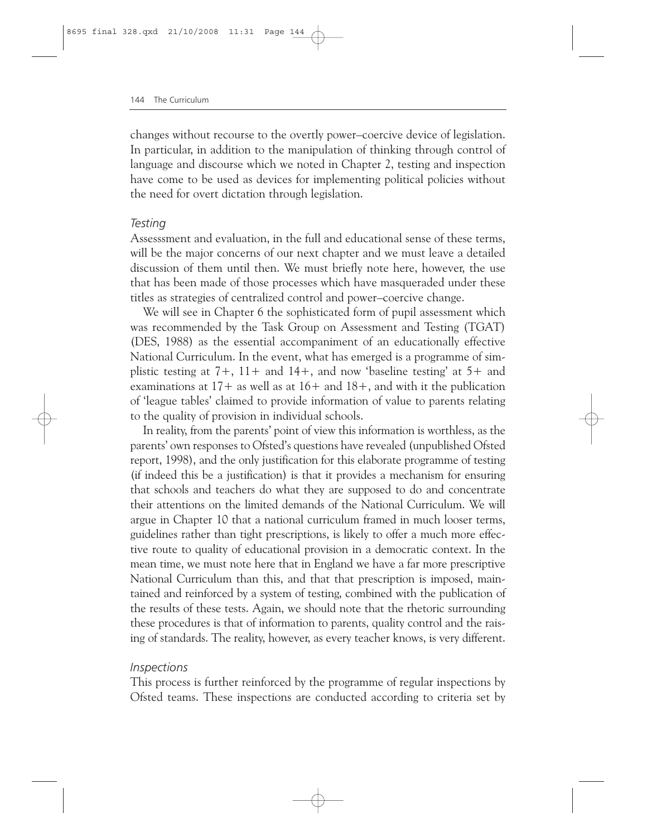changes without recourse to the overtly power–coercive device of legislation. In particular, in addition to the manipulation of thinking through control of language and discourse which we noted in Chapter 2, testing and inspection have come to be used as devices for implementing political policies without the need for overt dictation through legislation.

#### *Testing*

Assesssment and evaluation, in the full and educational sense of these terms, will be the major concerns of our next chapter and we must leave a detailed discussion of them until then. We must briefly note here, however, the use that has been made of those processes which have masqueraded under these titles as strategies of centralized control and power–coercive change.

We will see in Chapter 6 the sophisticated form of pupil assessment which was recommended by the Task Group on Assessment and Testing (TGAT) (DES, 1988) as the essential accompaniment of an educationally effective National Curriculum. In the event, what has emerged is a programme of simplistic testing at  $7+$ ,  $11+$  and  $14+$ , and now 'baseline testing' at  $5+$  and examinations at  $17+$  as well as at  $16+$  and  $18+$ , and with it the publication of 'league tables' claimed to provide information of value to parents relating to the quality of provision in individual schools.

In reality, from the parents' point of view this information is worthless, as the parents' own responses to Ofsted's questions have revealed (unpublished Ofsted report, 1998), and the only justification for this elaborate programme of testing (if indeed this be a justification) is that it provides a mechanism for ensuring that schools and teachers do what they are supposed to do and concentrate their attentions on the limited demands of the National Curriculum. We will argue in Chapter 10 that a national curriculum framed in much looser terms, guidelines rather than tight prescriptions, is likely to offer a much more effective route to quality of educational provision in a democratic context. In the mean time, we must note here that in England we have a far more prescriptive National Curriculum than this, and that that prescription is imposed, maintained and reinforced by a system of testing, combined with the publication of the results of these tests. Again, we should note that the rhetoric surrounding these procedures is that of information to parents, quality control and the raising of standards. The reality, however, as every teacher knows, is very different.

## *Inspections*

This process is further reinforced by the programme of regular inspections by Ofsted teams. These inspections are conducted according to criteria set by